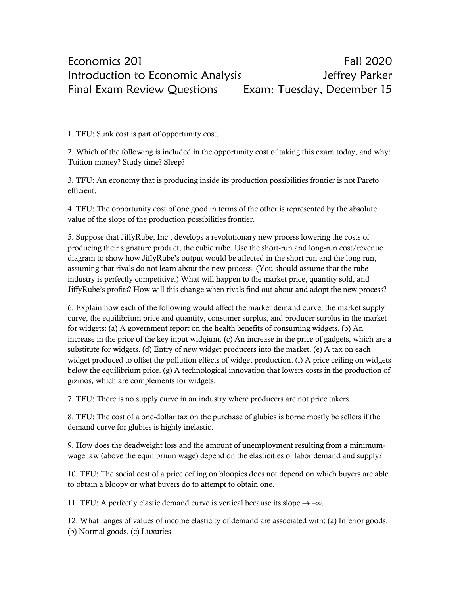1. TFU: Sunk cost is part of opportunity cost.

2. Which of the following is included in the opportunity cost of taking this exam today, and why: Tuition money? Study time? Sleep?

3. TFU: An economy that is producing inside its production possibilities frontier is not Pareto efficient.

4. TFU: The opportunity cost of one good in terms of the other is represented by the absolute value of the slope of the production possibilities frontier.

5. Suppose that JiffyRube, Inc., develops a revolutionary new process lowering the costs of producing their signature product, the cubic rube. Use the short-run and long-run cost/revenue diagram to show how JiffyRube's output would be affected in the short run and the long run, assuming that rivals do not learn about the new process. (You should assume that the rube industry is perfectly competitive.) What will happen to the market price, quantity sold, and JiffyRube's profits? How will this change when rivals find out about and adopt the new process?

6. Explain how each of the following would affect the market demand curve, the market supply curve, the equilibrium price and quantity, consumer surplus, and producer surplus in the market for widgets: (a) A government report on the health benefits of consuming widgets. (b) An increase in the price of the key input widgium. (c) An increase in the price of gadgets, which are a substitute for widgets. (d) Entry of new widget producers into the market. (e) A tax on each widget produced to offset the pollution effects of widget production. (f) A price ceiling on widgets below the equilibrium price. (g) A technological innovation that lowers costs in the production of gizmos, which are complements for widgets.

7. TFU: There is no supply curve in an industry where producers are not price takers.

8. TFU: The cost of a one-dollar tax on the purchase of glubies is borne mostly be sellers if the demand curve for glubies is highly inelastic.

9. How does the deadweight loss and the amount of unemployment resulting from a minimumwage law (above the equilibrium wage) depend on the elasticities of labor demand and supply?

10. TFU: The social cost of a price ceiling on bloopies does not depend on which buyers are able to obtain a bloopy or what buyers do to attempt to obtain one.

11. TFU: A perfectly elastic demand curve is vertical because its slope  $\rightarrow -\infty$ .

12. What ranges of values of income elasticity of demand are associated with: (a) Inferior goods. (b) Normal goods. (c) Luxuries.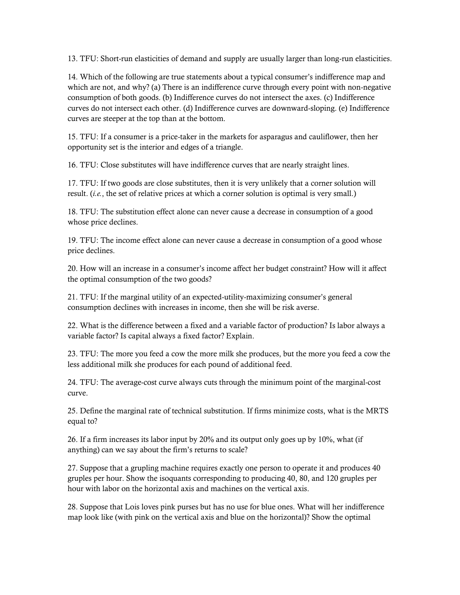13. TFU: Short-run elasticities of demand and supply are usually larger than long-run elasticities.

14. Which of the following are true statements about a typical consumer's indifference map and which are not, and why? (a) There is an indifference curve through every point with non-negative consumption of both goods. (b) Indifference curves do not intersect the axes. (c) Indifference curves do not intersect each other. (d) Indifference curves are downward-sloping. (e) Indifference curves are steeper at the top than at the bottom.

15. TFU: If a consumer is a price-taker in the markets for asparagus and cauliflower, then her opportunity set is the interior and edges of a triangle.

16. TFU: Close substitutes will have indifference curves that are nearly straight lines.

17. TFU: If two goods are close substitutes, then it is very unlikely that a corner solution will result. (*i.e.*, the set of relative prices at which a corner solution is optimal is very small.)

18. TFU: The substitution effect alone can never cause a decrease in consumption of a good whose price declines.

19. TFU: The income effect alone can never cause a decrease in consumption of a good whose price declines.

20. How will an increase in a consumer's income affect her budget constraint? How will it affect the optimal consumption of the two goods?

21. TFU: If the marginal utility of an expected-utility-maximizing consumer's general consumption declines with increases in income, then she will be risk averse.

22. What is the difference between a fixed and a variable factor of production? Is labor always a variable factor? Is capital always a fixed factor? Explain.

23. TFU: The more you feed a cow the more milk she produces, but the more you feed a cow the less additional milk she produces for each pound of additional feed.

24. TFU: The average-cost curve always cuts through the minimum point of the marginal-cost curve.

25. Define the marginal rate of technical substitution. If firms minimize costs, what is the MRTS equal to?

26. If a firm increases its labor input by 20% and its output only goes up by 10%, what (if anything) can we say about the firm's returns to scale?

27. Suppose that a grupling machine requires exactly one person to operate it and produces 40 gruples per hour. Show the isoquants corresponding to producing 40, 80, and 120 gruples per hour with labor on the horizontal axis and machines on the vertical axis.

28. Suppose that Lois loves pink purses but has no use for blue ones. What will her indifference map look like (with pink on the vertical axis and blue on the horizontal)? Show the optimal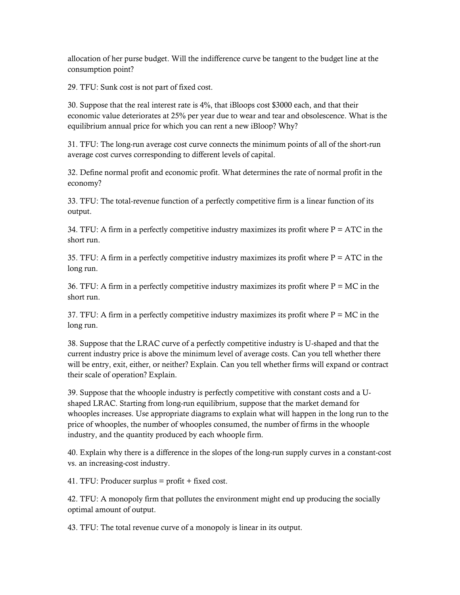allocation of her purse budget. Will the indifference curve be tangent to the budget line at the consumption point?

29. TFU: Sunk cost is not part of fixed cost.

30. Suppose that the real interest rate is 4%, that iBloops cost \$3000 each, and that their economic value deteriorates at 25% per year due to wear and tear and obsolescence. What is the equilibrium annual price for which you can rent a new iBloop? Why?

31. TFU: The long-run average cost curve connects the minimum points of all of the short-run average cost curves corresponding to different levels of capital.

32. Define normal profit and economic profit. What determines the rate of normal profit in the economy?

33. TFU: The total-revenue function of a perfectly competitive firm is a linear function of its output.

34. TFU: A firm in a perfectly competitive industry maximizes its profit where  $P = ATC$  in the short run.

35. TFU: A firm in a perfectly competitive industry maximizes its profit where  $P = ATC$  in the long run.

36. TFU: A firm in a perfectly competitive industry maximizes its profit where  $P = MC$  in the short run.

37. TFU: A firm in a perfectly competitive industry maximizes its profit where  $P = MC$  in the long run.

38. Suppose that the LRAC curve of a perfectly competitive industry is U-shaped and that the current industry price is above the minimum level of average costs. Can you tell whether there will be entry, exit, either, or neither? Explain. Can you tell whether firms will expand or contract their scale of operation? Explain.

39. Suppose that the whoople industry is perfectly competitive with constant costs and a Ushaped LRAC. Starting from long-run equilibrium, suppose that the market demand for whooples increases. Use appropriate diagrams to explain what will happen in the long run to the price of whooples, the number of whooples consumed, the number of firms in the whoople industry, and the quantity produced by each whoople firm.

40. Explain why there is a difference in the slopes of the long-run supply curves in a constant-cost vs. an increasing-cost industry.

41. TFU: Producer surplus = profit + fixed cost.

42. TFU: A monopoly firm that pollutes the environment might end up producing the socially optimal amount of output.

43. TFU: The total revenue curve of a monopoly is linear in its output.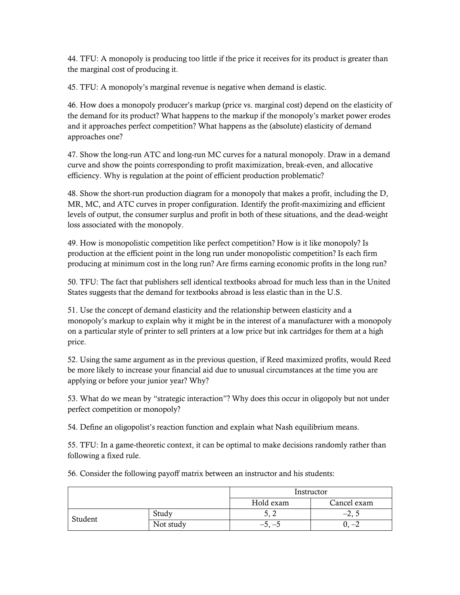44. TFU: A monopoly is producing too little if the price it receives for its product is greater than the marginal cost of producing it.

45. TFU: A monopoly's marginal revenue is negative when demand is elastic.

46. How does a monopoly producer's markup (price vs. marginal cost) depend on the elasticity of the demand for its product? What happens to the markup if the monopoly's market power erodes and it approaches perfect competition? What happens as the (absolute) elasticity of demand approaches one?

47. Show the long-run ATC and long-run MC curves for a natural monopoly. Draw in a demand curve and show the points corresponding to profit maximization, break-even, and allocative efficiency. Why is regulation at the point of efficient production problematic?

48. Show the short-run production diagram for a monopoly that makes a profit, including the D, MR, MC, and ATC curves in proper configuration. Identify the profit-maximizing and efficient levels of output, the consumer surplus and profit in both of these situations, and the dead-weight loss associated with the monopoly.

49. How is monopolistic competition like perfect competition? How is it like monopoly? Is production at the efficient point in the long run under monopolistic competition? Is each firm producing at minimum cost in the long run? Are firms earning economic profits in the long run?

50. TFU: The fact that publishers sell identical textbooks abroad for much less than in the United States suggests that the demand for textbooks abroad is less elastic than in the U.S.

51. Use the concept of demand elasticity and the relationship between elasticity and a monopoly's markup to explain why it might be in the interest of a manufacturer with a monopoly on a particular style of printer to sell printers at a low price but ink cartridges for them at a high price.

52. Using the same argument as in the previous question, if Reed maximized profits, would Reed be more likely to increase your financial aid due to unusual circumstances at the time you are applying or before your junior year? Why?

53. What do we mean by "strategic interaction"? Why does this occur in oligopoly but not under perfect competition or monopoly?

54. Define an oligopolist's reaction function and explain what Nash equilibrium means.

55. TFU: In a game-theoretic context, it can be optimal to make decisions randomly rather than following a fixed rule.

|         |           | Instructor |             |
|---------|-----------|------------|-------------|
|         |           | Hold exam  | Cancel exam |
| Student | Study     | ◡、 ∠       | $-L, L$     |
|         | Not study | $-5, -5$   | $-\angle$   |

56. Consider the following payoff matrix between an instructor and his students: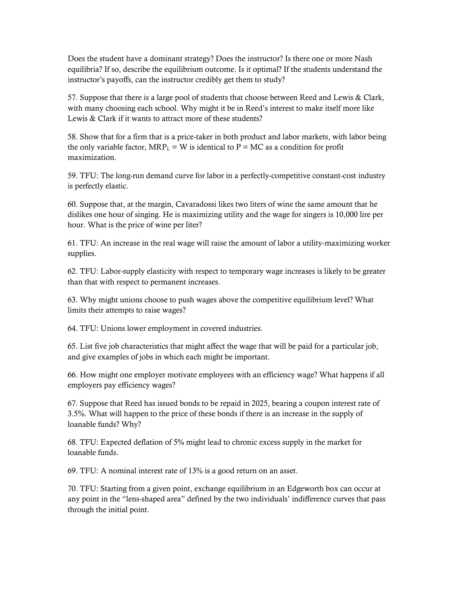Does the student have a dominant strategy? Does the instructor? Is there one or more Nash equilibria? If so, describe the equilibrium outcome. Is it optimal? If the students understand the instructor's payoffs, can the instructor credibly get them to study?

57. Suppose that there is a large pool of students that choose between Reed and Lewis & Clark, with many choosing each school. Why might it be in Reed's interest to make itself more like Lewis & Clark if it wants to attract more of these students?

58. Show that for a firm that is a price-taker in both product and labor markets, with labor being the only variable factor,  $MRP<sub>L</sub> = W$  is identical to P = MC as a condition for profit maximization.

59. TFU: The long-run demand curve for labor in a perfectly-competitive constant-cost industry is perfectly elastic.

60. Suppose that, at the margin, Cavaradossi likes two liters of wine the same amount that he dislikes one hour of singing. He is maximizing utility and the wage for singers is 10,000 lire per hour. What is the price of wine per liter?

61. TFU: An increase in the real wage will raise the amount of labor a utility-maximizing worker supplies.

62. TFU: Labor-supply elasticity with respect to temporary wage increases is likely to be greater than that with respect to permanent increases.

63. Why might unions choose to push wages above the competitive equilibrium level? What limits their attempts to raise wages?

64. TFU: Unions lower employment in covered industries.

65. List five job characteristics that might affect the wage that will be paid for a particular job, and give examples of jobs in which each might be important.

66. How might one employer motivate employees with an efficiency wage? What happens if all employers pay efficiency wages?

67. Suppose that Reed has issued bonds to be repaid in 2025, bearing a coupon interest rate of 3.5%. What will happen to the price of these bonds if there is an increase in the supply of loanable funds? Why?

68. TFU: Expected deflation of 5% might lead to chronic excess supply in the market for loanable funds.

69. TFU: A nominal interest rate of 13% is a good return on an asset.

70. TFU: Starting from a given point, exchange equilibrium in an Edgeworth box can occur at any point in the "lens-shaped area" defined by the two individuals' indifference curves that pass through the initial point.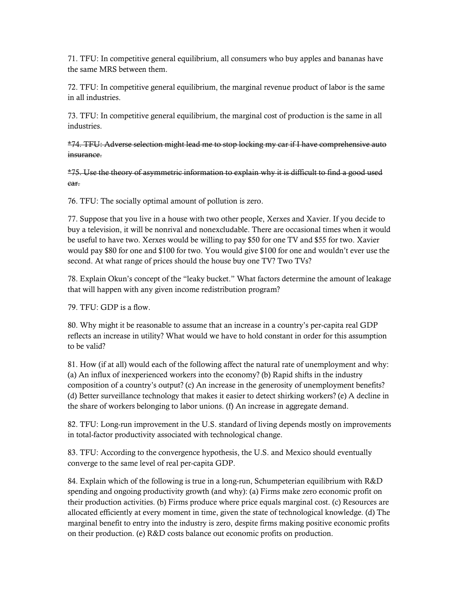71. TFU: In competitive general equilibrium, all consumers who buy apples and bananas have the same MRS between them.

72. TFU: In competitive general equilibrium, the marginal revenue product of labor is the same in all industries.

73. TFU: In competitive general equilibrium, the marginal cost of production is the same in all industries.

\*74. TFU: Adverse selection might lead me to stop locking my car if I have comprehensive auto insurance.

\*75. Use the theory of asymmetric information to explain why it is difficult to find a good used car.

76. TFU: The socially optimal amount of pollution is zero.

77. Suppose that you live in a house with two other people, Xerxes and Xavier. If you decide to buy a television, it will be nonrival and nonexcludable. There are occasional times when it would be useful to have two. Xerxes would be willing to pay \$50 for one TV and \$55 for two. Xavier would pay \$80 for one and \$100 for two. You would give \$100 for one and wouldn't ever use the second. At what range of prices should the house buy one TV? Two TVs?

78. Explain Okun's concept of the "leaky bucket." What factors determine the amount of leakage that will happen with any given income redistribution program?

79. TFU: GDP is a flow.

80. Why might it be reasonable to assume that an increase in a country's per-capita real GDP reflects an increase in utility? What would we have to hold constant in order for this assumption to be valid?

81. How (if at all) would each of the following affect the natural rate of unemployment and why: (a) An influx of inexperienced workers into the economy? (b) Rapid shifts in the industry composition of a country's output? (c) An increase in the generosity of unemployment benefits? (d) Better surveillance technology that makes it easier to detect shirking workers? (e) A decline in the share of workers belonging to labor unions. (f) An increase in aggregate demand.

82. TFU: Long-run improvement in the U.S. standard of living depends mostly on improvements in total-factor productivity associated with technological change.

83. TFU: According to the convergence hypothesis, the U.S. and Mexico should eventually converge to the same level of real per-capita GDP.

84. Explain which of the following is true in a long-run, Schumpeterian equilibrium with R&D spending and ongoing productivity growth (and why): (a) Firms make zero economic profit on their production activities. (b) Firms produce where price equals marginal cost. (c) Resources are allocated efficiently at every moment in time, given the state of technological knowledge. (d) The marginal benefit to entry into the industry is zero, despite firms making positive economic profits on their production. (e) R&D costs balance out economic profits on production.